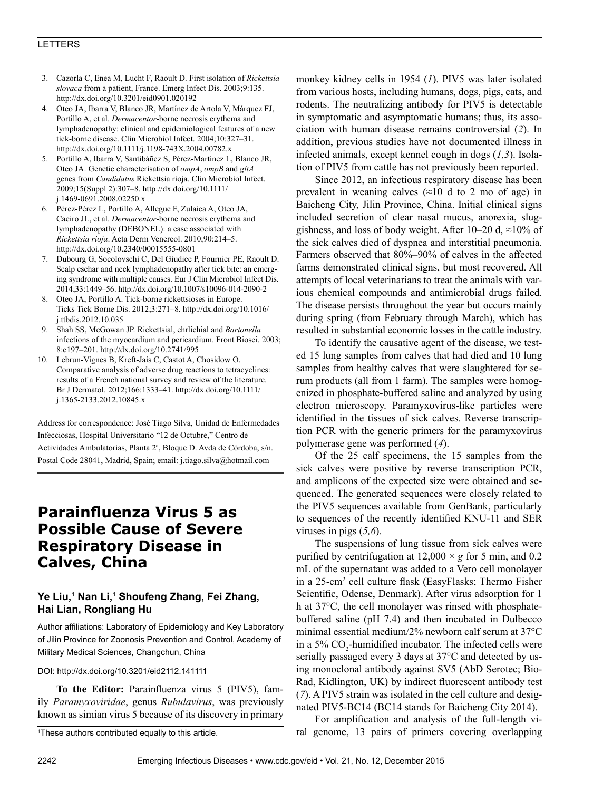### LETTERS

- 3. Cazorla C, Enea M, Lucht F, Raoult D. First isolation of *Rickettsia slovaca* from a patient, France. Emerg Infect Dis. 2003;9:135. http://dx.doi.org/10.3201/eid0901.020192
- 4. Oteo JA, Ibarra V, Blanco JR, Martínez de Artola V, Márquez FJ, Portillo A, et al. *Dermacentor*-borne necrosis erythema and lymphadenopathy: clinical and epidemiological features of a new tick-borne disease. Clin Microbiol Infect. 2004;10:327–31. http://dx.doi.org/10.1111/j.1198-743X.2004.00782.x
- 5. Portillo A, Ibarra V, Santibáñez S, Pérez-Martínez L, Blanco JR, Oteo JA. Genetic characterisation of *ompA*, *ompB* and *gltA* genes from *Candidatus* Rickettsia rioja. Clin Microbiol Infect. 2009;15(Suppl 2):307–8. http://dx.doi.org/10.1111/ j.1469-0691.2008.02250.x
- 6. Pérez-Pérez L, Portillo A, Allegue F, Zulaica A, Oteo JA, Caeiro JL, et al. *Dermacentor*-borne necrosis erythema and lymphadenopathy (DEBONEL): a case associated with *Rickettsia rioja*. Acta Derm Venereol. 2010;90:214–5. http://dx.doi.org/10.2340/00015555-0801
- 7. Dubourg G, Socolovschi C, Del Giudice P, Fournier PE, Raoult D. Scalp eschar and neck lymphadenopathy after tick bite: an emerging syndrome with multiple causes. Eur J Clin Microbiol Infect Dis. 2014;33:1449–56. http://dx.doi.org/10.1007/s10096-014-2090-2
- 8. Oteo JA, Portillo A. Tick-borne rickettsioses in Europe. Ticks Tick Borne Dis. 2012;3:271–8. http://dx.doi.org/10.1016/ j.ttbdis.2012.10.035
- 9. Shah SS, McGowan JP. Rickettsial, ehrlichial and *Bartonella* infections of the myocardium and pericardium. Front Biosci. 2003; 8:e197–201. http://dx.doi.org/10.2741/995
- 10. Lebrun-Vignes B, Kreft-Jais C, Castot A, Chosidow O. Comparative analysis of adverse drug reactions to tetracyclines: results of a French national survey and review of the literature. Br J Dermatol. 2012;166:1333–41. http://dx.doi.org/10.1111/ j.1365-2133.2012.10845.x

Address for correspondence: José Tiago Silva, Unidad de Enfermedades Infecciosas, Hospital Universitario "12 de Octubre," Centro de Actividades Ambulatorias, Planta 2ª, Bloque D. Avda de Córdoba, s/n. Postal Code 28041, Madrid, Spain; email: j.tiago.silva@hotmail.com

# **Parainfluenza Virus 5 as Possible Cause of Severe Respiratory Disease in Calves, China**

## **Ye Liu,1 Nan Li,1 Shoufeng Zhang, Fei Zhang, Hai Lian, Rongliang Hu**

Author affiliations: Laboratory of Epidemiology and Key Laboratory of Jilin Province for Zoonosis Prevention and Control, Academy of Military Medical Sciences, Changchun, China

#### DOI: http://dx.doi.org/10.3201/eid2112.141111

**To the Editor:** Parainfluenza virus 5 (PIV5), family *Paramyxoviridae*, genus *Rubulavirus*, was previously known as simian virus 5 because of its discovery in primary

1 These authors contributed equally to this article.

monkey kidney cells in 1954 (*1*). PIV5 was later isolated from various hosts, including humans, dogs, pigs, cats, and rodents. The neutralizing antibody for PIV5 is detectable in symptomatic and asymptomatic humans; thus, its association with human disease remains controversial (*2*). In addition, previous studies have not documented illness in infected animals, except kennel cough in dogs (*1,3*). Isolation of PIV5 from cattle has not previously been reported.

Since 2012, an infectious respiratory disease has been prevalent in weaning calves  $(\approx 10 \text{ d to } 2 \text{ mo of age})$  in Baicheng City, Jilin Province, China. Initial clinical signs included secretion of clear nasal mucus, anorexia, sluggishness, and loss of body weight. After 10–20 d,  $\approx$ 10% of the sick calves died of dyspnea and interstitial pneumonia. Farmers observed that 80%–90% of calves in the affected farms demonstrated clinical signs, but most recovered. All attempts of local veterinarians to treat the animals with various chemical compounds and antimicrobial drugs failed. The disease persists throughout the year but occurs mainly during spring (from February through March), which has resulted in substantial economic losses in the cattle industry.

To identify the causative agent of the disease, we tested 15 lung samples from calves that had died and 10 lung samples from healthy calves that were slaughtered for serum products (all from 1 farm). The samples were homogenized in phosphate-buffered saline and analyzed by using electron microscopy. Paramyxovirus-like particles were identified in the tissues of sick calves. Reverse transcription PCR with the generic primers for the paramyxovirus polymerase gene was performed (*4*).

Of the 25 calf specimens, the 15 samples from the sick calves were positive by reverse transcription PCR, and amplicons of the expected size were obtained and sequenced. The generated sequences were closely related to the PIV5 sequences available from GenBank, particularly to sequences of the recently identified KNU-11 and SER viruses in pigs (*5,6*).

The suspensions of lung tissue from sick calves were purified by centrifugation at  $12,000 \times g$  for 5 min, and 0.2 mL of the supernatant was added to a Vero cell monolayer in a 25-cm2 cell culture flask (EasyFlasks; Thermo Fisher Scientific, Odense, Denmark). After virus adsorption for 1 h at 37°C, the cell monolayer was rinsed with phosphatebuffered saline (pH 7.4) and then incubated in Dulbecco minimal essential medium/2% newborn calf serum at 37°C in a 5%  $CO_2$ -humidified incubator. The infected cells were serially passaged every 3 days at 37°C and detected by using monoclonal antibody against SV5 (AbD Serotec; Bio-Rad, Kidlington, UK) by indirect fluorescent antibody test (*7*). A PIV5 strain was isolated in the cell culture and designated PIV5-BC14 (BC14 stands for Baicheng City 2014).

For amplification and analysis of the full-length viral genome, 13 pairs of primers covering overlapping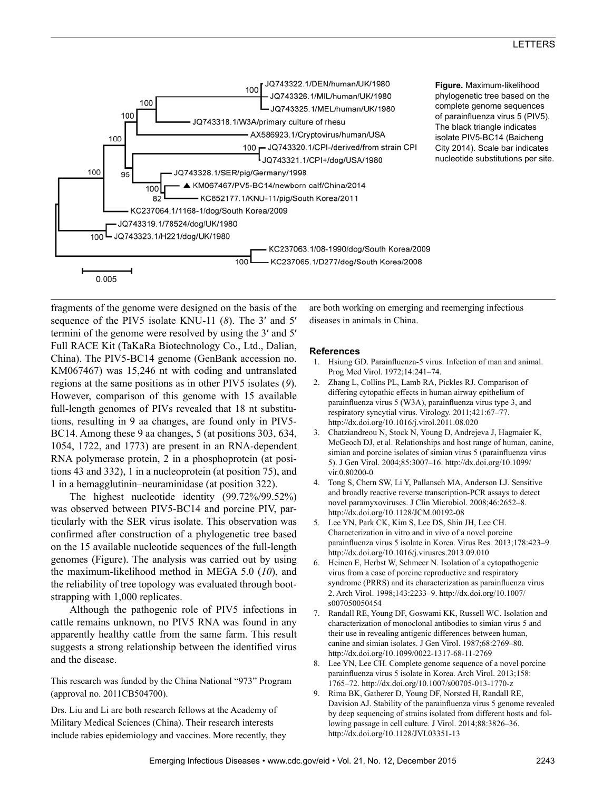

fragments of the genome were designed on the basis of the sequence of the PIV5 isolate KNU-11 (*8*). The 3′ and 5′ termini of the genome were resolved by using the 3′ and 5′ Full RACE Kit (TaKaRa Biotechnology Co., Ltd., Dalian, China). The PIV5-BC14 genome (GenBank accession no. KM067467) was 15,246 nt with coding and untranslated regions at the same positions as in other PIV5 isolates (*9*). However, comparison of this genome with 15 available full-length genomes of PIVs revealed that 18 nt substitutions, resulting in 9 aa changes, are found only in PIV5- BC14. Among these 9 aa changes, 5 (at positions 303, 634, 1054, 1722, and 1773) are present in an RNA-dependent RNA polymerase protein, 2 in a phosphoprotein (at positions 43 and 332), 1 in a nucleoprotein (at position 75), and 1 in a hemagglutinin–neuraminidase (at position 322).

The highest nucleotide identity (99.72%/99.52%) was observed between PIV5-BC14 and porcine PIV, particularly with the SER virus isolate. This observation was confirmed after construction of a phylogenetic tree based on the 15 available nucleotide sequences of the full-length genomes (Figure). The analysis was carried out by using the maximum-likelihood method in MEGA 5.0 (*10*), and the reliability of tree topology was evaluated through bootstrapping with 1,000 replicates.

Although the pathogenic role of PIV5 infections in cattle remains unknown, no PIV5 RNA was found in any apparently healthy cattle from the same farm. This result suggests a strong relationship between the identified virus and the disease.

This research was funded by the China National "973" Program (approval no. 2011CB504700).

Drs. Liu and Li are both research fellows at the Academy of Military Medical Sciences (China). Their research interests include rabies epidemiology and vaccines. More recently, they are both working on emerging and reemerging infectious diseases in animals in China.

#### **References**

- 1. Hsiung GD. Parainfluenza-5 virus. Infection of man and animal. Prog Med Virol. 1972;14:241–74.
- 2. Zhang L, Collins PL, Lamb RA, Pickles RJ. Comparison of differing cytopathic effects in human airway epithelium of parainfluenza virus 5 (W3A), parainfluenza virus type 3, and respiratory syncytial virus. Virology. 2011;421:67–77. http://dx.doi.org/10.1016/j.virol.2011.08.020
- 3. Chatziandreou N, Stock N, Young D, Andrejeva J, Hagmaier K, McGeoch DJ, et al. Relationships and host range of human, canine, simian and porcine isolates of simian virus 5 (parainfluenza virus 5). J Gen Virol. 2004;85:3007–16. http://dx.doi.org/10.1099/ vir.0.80200-0
- 4. Tong S, Chern SW, Li Y, Pallansch MA, Anderson LJ. Sensitive and broadly reactive reverse transcription-PCR assays to detect novel paramyxoviruses. J Clin Microbiol. 2008;46:2652–8. http://dx.doi.org/10.1128/JCM.00192-08
- 5. Lee YN, Park CK, Kim S, Lee DS, Shin JH, Lee CH. Characterization in vitro and in vivo of a novel porcine parainfluenza virus 5 isolate in Korea. Virus Res. 2013;178:423–9. http://dx.doi.org/10.1016/j.virusres.2013.09.010
- 6. Heinen E, Herbst W, Schmeer N. Isolation of a cytopathogenic virus from a case of porcine reproductive and respiratory syndrome (PRRS) and its characterization as parainfluenza virus 2. Arch Virol. 1998;143:2233–9. http://dx.doi.org/10.1007/ s007050050454
- 7. Randall RE, Young DF, Goswami KK, Russell WC. Isolation and characterization of monoclonal antibodies to simian virus 5 and their use in revealing antigenic differences between human, canine and simian isolates. J Gen Virol. 1987;68:2769–80. http://dx.doi.org/10.1099/0022-1317-68-11-2769
- 8. Lee YN, Lee CH. Complete genome sequence of a novel porcine parainfluenza virus 5 isolate in Korea. Arch Virol. 2013;158: 1765–72. http://dx.doi.org/10.1007/s00705-013-1770-z
- 9. Rima BK, Gatherer D, Young DF, Norsted H, Randall RE, Davision AJ. Stability of the parainfluenza virus 5 genome revealed by deep sequencing of strains isolated from different hosts and following passage in cell culture. J Virol. 2014;88:3826–36. http://dx.doi.org/10.1128/JVI.03351-13